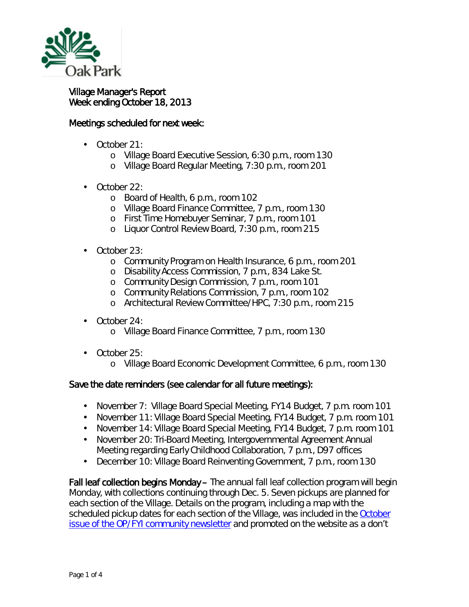

## Village Manager's Report Week ending October 18, 2013

## Meetings scheduled for next week:

- October 21: L.
	- o Village Board Executive Session, 6:30 p.m., room 130
	- o Village Board Regular Meeting, 7:30 p.m., room 201
- October 22: L.
	- o Board of Health, 6 p.m., room 102
	- o Village Board Finance Committee, 7 p.m., room 130
	- o First Time Homebuyer Seminar, 7 p.m., room 101
	- o Liquor Control Review Board, 7:30 p.m., room 215
- October 23:
	- o Community Program on Health Insurance, 6 p.m., room 201
	- o Disability Access Commission, 7 p.m., 834 Lake St.
	- o Community Design Commission, 7 p.m., room 101
	- o Community Relations Commission, 7 p.m., room 102
	- <sup>o</sup> Architectural Review Committee/HPC, 7:30 p.m., room 215
- October 24: ä,
	- o Village Board Finance Committee, 7 p.m., room 130
- October 25:  $\mathbf{r}$ 
	- o Village Board Economic Development Committee, 6 p.m., room 130

## Save the date reminders (see calendar for all future meetings):

- $\mathcal{L}^{\text{max}}$ November 7: Village Board Special Meeting, FY14 Budget, 7 p.m. room 101
- November 11: Village Board Special Meeting, FY14 Budget, 7 p.m. room 101  $\mathbf{r}$
- November 14: Village Board Special Meeting, FY14 Budget, 7 p.m. room 101
- November 20: Tri-Board Meeting, Intergovernmental Agreement Annual  $\mathcal{L}^{\text{max}}$ Meeting regarding Early Childhood Collaboration, 7 p.m., D97 offices
- December 10: Village Board Reinventing Government, 7 p.m., room 130  $\mathbf{r}^{\prime}$

Fall leaf collection begins Monday – The annual fall leaf collection program will begin Monday, with collections continuing through Dec. 5. Seven pickups are planned for each section of the Village. Details on the program, including a map with the scheduled pickup dates for each section of the Village, was included in the **October** [issue of the OP/FYI community newsletter](http://www.oak-park.us/newsletters/october-2013/fall-leaf-collection-begins-month) and promoted on the website as a *don't*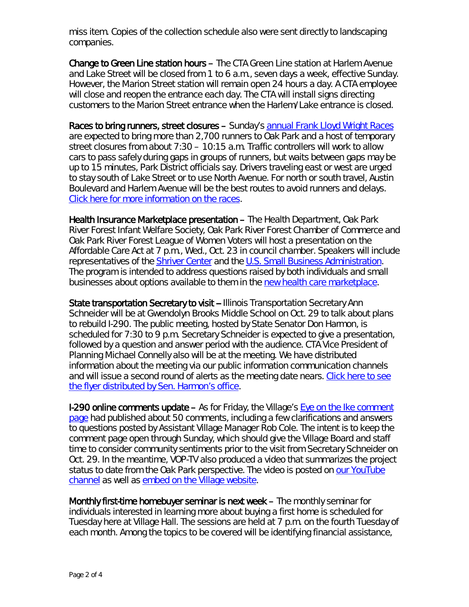*miss* item. Copies of the collection schedule also were sent directly to landscaping companies.

Change to Green Line station hours – The CTA Green Line station at Harlem Avenue and Lake Street will be closed from 1 to 6 a.m., seven days a week, effective Sunday. However, the Marion Street station will remain open 24 hours a day. A CTA employee will close and reopen the entrance each day. The CTA will install signs directing customers to the Marion Street entrance when the Harlem/Lake entrance is closed.

Races to bring runners, street closures - Sunday's [annual Frank Lloyd Wright Races](http://www.pdop.org/events/frank-lloyd-wright-races/?F_d=10-20-2013) are expected to bring more than 2,700 runners to Oak Park and a host of temporary street closures from about 7:30 – 10:15 a.m. Traffic controllers will work to allow cars to pass safely during gaps in groups of runners, but waits between gaps may be up to 15 minutes, Park District officials say. Drivers traveling east or west are urged to stay south of Lake Street or to use North Avenue. For north or south travel, Austin Boulevard and Harlem Avenue will be the best routes to avoid runners and delays. [Click here for more information on the races.](http://www.pdop.org/events/flwraces/)

Health Insurance Marketplace presentation – The Health Department, Oak Park River Forest Infant Welfare Society, Oak Park River Forest Chamber of Commerce and Oak Park River Forest League of Women Voters will host a presentation on the Affordable Care Act at 7 p.m., Wed., Oct. 23 in council chamber. Speakers will include representatives of the **Shriver Center** and the [U.S. Small Business Administration.](http://www.sba.gov/) The program is intended to address questions raised by both individuals and small businesses about options available to them in the [new health care marketplace.](https://www.healthcare.gov/marketplace/individual/)

State transportation Secretary to visit -- Illinois Transportation Secretary Ann Schneider will be at Gwendolyn Brooks Middle School on Oct. 29 to talk about plans to rebuild I-290. The public meeting, hosted by State Senator Don Harmon, is scheduled for 7:30 to 9 p.m. Secretary Schneider is expected to give a presentation, followed by a question and answer period with the audience. CTA Vice President of Planning Michael Connelly also will be at the meeting. We have distributed information about the meeting via our public information communication channels and will issue a second round of alerts as the meeting date nears. Click here to see [the flyer distributed by Sen. Harmon's office.](http://www.oak-park.us/sites/default/files/456678891/2013-10-29-idot-oak-park-eisenhower-meeting-flyer-harmon.pdf)

I-290 online comments update – As for Friday, the Village's [Eye on the Ike comment](http://www.oak-park.us/your-government/village-board/eye-ike/thoughts-ike)  [page](http://www.oak-park.us/your-government/village-board/eye-ike/thoughts-ike) had published about 50 comments, including a few clarifications and answers to questions posted by Assistant Village Manager Rob Cole. The intent is to keep the comment page open through Sunday, which should give the Village Board and staff time to consider community sentiments prior to the visit from Secretary Schneider on Oct. 29. In the meantime, VOP-TV also produced a video that summarizes the project status to date from the Oak Park perspective. The video is posted on [our YouTube](http://www.youtube.com/vopnews)  [channel](http://www.youtube.com/vopnews) as well as [embed on the Village website.](http://www.oak-park.us/your-government/village-board/eye-ike)

Monthly first-time homebuyer seminar is next week – The monthly seminar for individuals interested in learning more about buying a first home is scheduled for Tuesday here at Village Hall. The sessions are held at 7 p.m. on the fourth Tuesday of each month. Among the topics to be covered will be identifying financial assistance,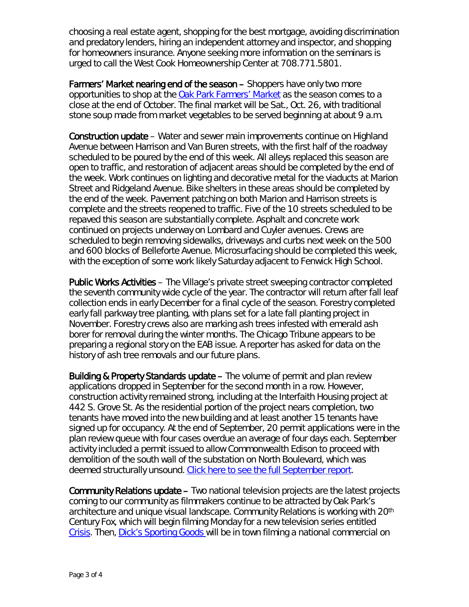choosing a real estate agent, shopping for the best mortgage, avoiding discrimination and predatory lenders, hiring an independent attorney and inspector, and shopping for homeowners insurance. Anyone seeking more information on the seminars is urged to call the West Cook Homeownership Center at 708.771.5801.

Farmers' Market nearing end of the season – Shoppers have only two more opportunities to shop at the [Oak Park Farmers' Market](http://www.oak-park.us/our-community/oak-park-farmers-market) as the season comes to a close at the end of October. The final market will be Sat., Oct. 26, with traditional stone soup made from market vegetables to be served beginning at about 9 a.m.

Construction update – Water and sewer main improvements continue on Highland Avenue between Harrison and Van Buren streets, with the first half of the roadway scheduled to be poured by the end of this week. All alleys replaced this season are open to traffic, and restoration of adjacent areas should be completed by the end of the week. Work continues on lighting and decorative metal for the viaducts at Marion Street and Ridgeland Avenue. Bike shelters in these areas should be completed by the end of the week. Pavement patching on both Marion and Harrison streets is complete and the streets reopened to traffic. Five of the 10 streets scheduled to be repaved this season are substantially complete. Asphalt and concrete work continued on projects underway on Lombard and Cuyler avenues. Crews are scheduled to begin removing sidewalks, driveways and curbs next week on the 500 and 600 blocks of Belleforte Avenue. Microsurfacing should be completed this week, with the exception of some work likely Saturday adjacent to Fenwick High School.

Public Works Activities – The Village's private street sweeping contractor completed the seventh community wide cycle of the year. The contractor will return after fall leaf collection ends in early December for a final cycle of the season. Forestry completed early fall parkway tree planting, with plans set for a late fall planting project in November. Forestry crews also are marking ash trees infested with emerald ash borer for removal during the winter months. The Chicago Tribune appears to be preparing a regional story on the EAB issue. A reporter has asked for data on the history of ash tree removals and our future plans.

Building & Property Standards update – The volume of permit and plan review applications dropped in September for the second month in a row. However, construction activity remained strong, including at the Interfaith Housing project at 442 S. Grove St. As the residential portion of the project nears completion, two tenants have moved into the new building and at least another 15 tenants have signed up for occupancy. At the end of September, 20 permit applications were in the plan review queue with four cases overdue an average of four days each. September activity included a permit issued to allow Commonwealth Edison to proceed with demolition of the south wall of the substation on North Boulevard, which was deemed structurally unsound. [Click here to see the full September report.](http://www.oak-park.us/sites/default/files/456678891/2013-10-17-BPS-october-activity-report.pdf)

Community Relations update – Two national television projects are the latest projects coming to our community as filmmakers continue to be attracted by Oak Park's architecture and unique visual landscape. Community Relations is working with 20th Century Fox, which will begin filming Monday for a new television series entitled *[Crisis](http://www.nbc.com/crisis/)*. Then, [Dick's Sporting Goods w](http://www.dickssportinggoods.com/corp/index.jsp?page=aboutUs&ab=Footer_Know_AboutUs)ill be in town filming a national commercial on